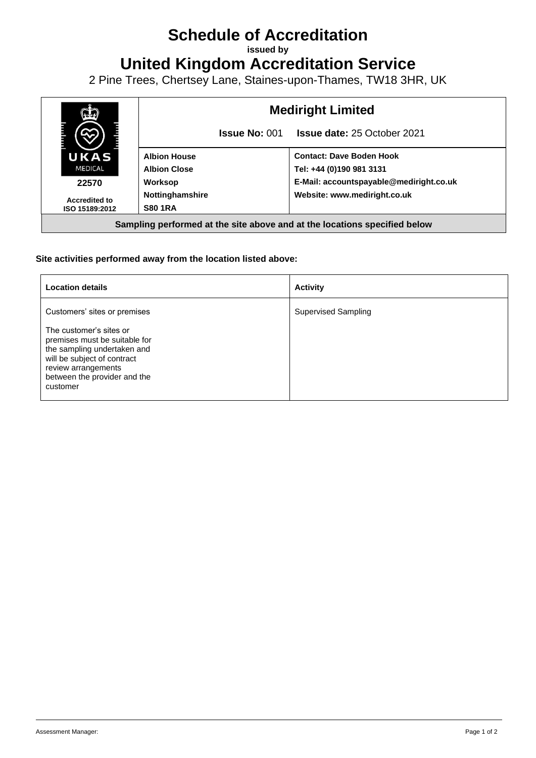## **Schedule of Accreditation**

**issued by**

**United Kingdom Accreditation Service**

2 Pine Trees, Chertsey Lane, Staines-upon-Thames, TW18 3HR, UK



## **Site activities performed away from the location listed above:**

| <b>Location details</b>                                                                                                                                                                   | <b>Activity</b>            |
|-------------------------------------------------------------------------------------------------------------------------------------------------------------------------------------------|----------------------------|
| Customers' sites or premises                                                                                                                                                              | <b>Supervised Sampling</b> |
| The customer's sites or<br>premises must be suitable for<br>the sampling undertaken and<br>will be subject of contract<br>review arrangements<br>between the provider and the<br>customer |                            |